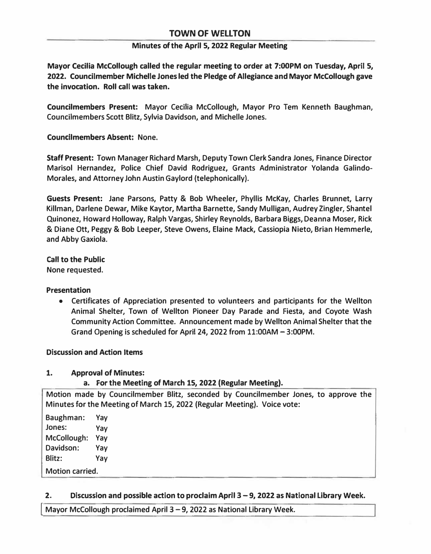## **TOWN OF WELLTON**

#### **Minutes of the April 5, 2022 Regular Meeting**

**Mayor Cecilia Mccollough called the regular meeting to order at 7:00PM on Tuesday, April 5, 2022. Councilmember Michelle Jones led the Pledge of Allegiance andMayor Mccollough gave the invocation. Roll call was taken.** 

**Councilmembers Present: Mayor Cecilia Mccollough, Mayor Pro Tern Kenneth Baughman, Councilmembers Scott Blitz, Sylvia Davidson, and Michelle Jones.** 

**Councilmembers Absent: None.** 

**Staff Present: Town Manager Richard Marsh, Deputy Town Clerk Sandra Jones, Finance Director Marisol Hernandez, Police Chief David Rodriguez, Grants Administrator Yolanda Galindo-Morales, and Attorney John Austin Gaylord (telephonically).** 

**Guests Present: Jane Parsons, Patty & Bob Wheeler, Phyllis McKay, Charles Brunnet, Larry Killman, Darlene Dewar, Mike Kaytor, Martha Barnette, Sandy Mulligan, Audrey Zingler, Shantel Quinonez, Howard Holloway, Ralph Vargas, Shirley Reynolds, Barbara Biggs, Deanna Moser, Rick & Diane Ott, Peggy & Bob Leeper, Steve Owens, Elaine Mack, Cassiopia Nieto, Brian Hemmerle, and Abby Gaxiola.** 

**Call to the Public None requested.** 

#### **Presentation**

**• Certificates of Appreciation presented to volunteers and participants for the Wellton Animal Shelter, Town of Wellton Pioneer Day Parade and Fiesta, and Coyote Wash Community Action Committee. Announcement made by Wellton Animal Shelter that the Grand Opening is scheduled for April 24, 2022 from 11:00AM - 3:00PM.**

#### **Discussion and Action Items**

#### **1. Approval of Minutes:**

## **a. For the Meeting of March 15, 2022 (Regular Meeting).**

**Motion made by Councilmember Blitz, seconded by Councilmember Jones, to approve the Minutes for the Meeting of March 15, 2022 (Regular Meeting). Voice vote:** 

**Baughman: Vay Jones: Vay Mccollough: Vay Davidson: Vay Blitz: Vay Motion carried.** 

#### **2. Discussion and possible action to proclaim April 3 - 9, 2022 as National Library Week.**

**I Mayor Mccollough proclaimed April 3 - 9, 2022 as National Library Week.**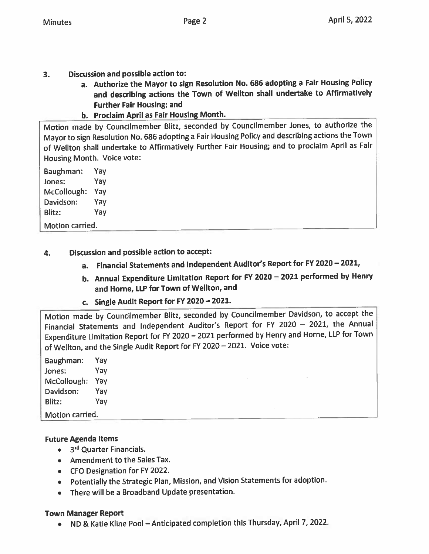- **Discussion and possible action to:**  $3.$ 
	- a. Authorize the Mayor to sign Resolution No. 686 adopting a Fair Housing Policy and describing actions the Town of Wellton shall undertake to Affirmatively **Further Fair Housing; and**
	- b. Proclaim April as Fair Housing Month.

Motion made by Councilmember Blitz, seconded by Councilmember Jones, to authorize the Mayor to sign Resolution No. 686 adopting a Fair Housing Policy and describing actions the Town of Wellton shall undertake to Affirmatively Further Fair Housing; and to proclaim April as Fair Housing Month. Voice vote:

Baughman: Yav Jones: Yay McCollough: Yay Davidson: Yay Blitz: Yay

Motion carried.

- Discussion and possible action to accept: 4.
	- a. Financial Statements and Independent Auditor's Report for FY 2020 2021,
	- b. Annual Expenditure Limitation Report for FY 2020 2021 performed by Henry and Horne, LLP for Town of Wellton, and
	- c. Single Audit Report for FY 2020 2021.

Motion made by Councilmember Blitz, seconded by Councilmember Davidson, to accept the Financial Statements and Independent Auditor's Report for FY 2020 - 2021, the Annual Expenditure Limitation Report for FY 2020 - 2021 performed by Henry and Horne, LLP for Town of Wellton, and the Single Audit Report for FY 2020 - 2021. Voice vote:

Yav Baughman: Jones: Yav McCollough: Yay Davidson: Yay Blitz: Yay Motion carried.

## **Future Agenda Items**

- 3<sup>rd</sup> Quarter Financials.
- Amendment to the Sales Tax.
- CFO Designation for FY 2022.
- Potentially the Strategic Plan, Mission, and Vision Statements for adoption.
- There will be a Broadband Update presentation.

## **Town Manager Report**

• ND & Katie Kline Pool - Anticipated completion this Thursday, April 7, 2022.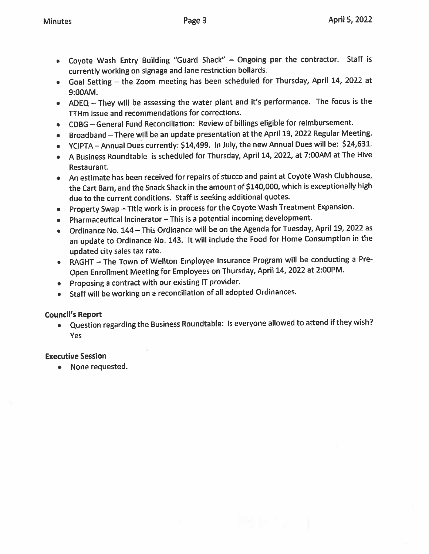- Coyote Wash Entry Building "Guard Shack" Ongoing per the contractor. Staff is currently working on signage and lane restriction bollards.
- Goal Setting the Zoom meeting has been scheduled for Thursday, April 14, 2022 at 9:00AM.
- ADEQ They will be assessing the water plant and it's performance. The focus is the TTHm issue and recommendations for corrections.
- CDBG General Fund Reconciliation: Review of billings eligible for reimbursement.
- Broadband There will be an update presentation at the April 19, 2022 Regular Meeting.
- YCIPTA Annual Dues currently: \$14,499. In July, the new Annual Dues will be: \$24,631.
- A Business Roundtable is scheduled for Thursday, April 14, 2022, at 7:00AM at The Hive Restaurant.
- An estimate has been received for repairs of stucco and paint at Coyote Wash Clubhouse, the Cart Barn, and the Snack Shack in the amount of \$140,000, which is exceptionally high due to the current conditions. Staff is seeking additional quotes.
- Property Swap Title work is in process for the Coyote Wash Treatment Expansion.
- Pharmaceutical Incinerator This is a potential incoming development.
- Ordinance No. 144 This Ordinance will be on the Agenda for Tuesday, April 19, 2022 as an update to Ordinance No. 143. It will include the Food for Home Consumption in the updated city sales tax rate.
- RAGHT The Town of Wellton Employee Insurance Program will be conducting a Pre- $\bullet$ Open Enrollment Meeting for Employees on Thursday, April 14, 2022 at 2:00PM.
- Proposing a contract with our existing IT provider.
- Staff will be working on a reconciliation of all adopted Ordinances.  $\bullet$

# **Council's Report**

. Question regarding the Business Roundtable: Is everyone allowed to attend if they wish? Yes

# **Executive Session**

• None requested.